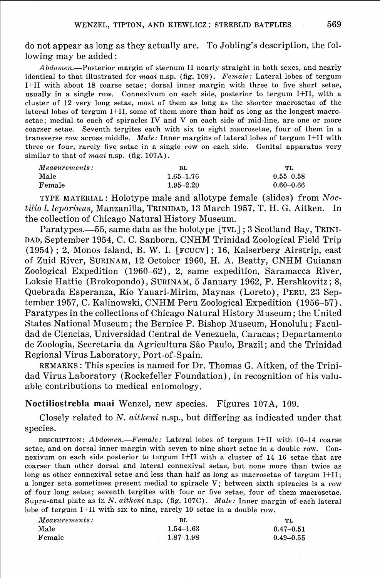do not appear as long as they actually are. To Jobling's description, the following may be added :

 $Abdomen$ .—Posterior margin of sternum II nearly straight in both sexes, and nearly identical to that illustrated for *maai* n.sp. (fig. 109). *Female:* Lateral lobes of tergum I+II with about 18 coarse setae; dorsal inner margin with three to five short setae, usually in a single row. Connexivum on each side, posterior to tergum I+II, with a cluster of 12 very long setae, most of them as long as the shorter macrosetae of the lateral lobes of tergum I+II, some of them more than half as long as the longest macrosetae; medial to each of spiracles IV and V on each side of mid-line, are one or more coarser setae. Seventh tergites each with six to eight macrosetae, four of them in a transverse row across middle. *Male:* Inner margins of lateral lobes of tergum I+II with three or four, rarely five setae in a single row on each side. Genital apparatus very similar to that of *maai* n.sp. (fig. 107A).

| $\frac{1}{2}$ . The set of the set of $\frac{1}{2}$ , $\frac{1}{2}$ , $\frac{1}{2}$ , $\frac{1}{2}$ , $\frac{1}{2}$ , $\frac{1}{2}$ , $\frac{1}{2}$ , $\frac{1}{2}$ |               |  |
|---------------------------------------------------------------------------------------------------------------------------------------------------------------------|---------------|--|
| вL                                                                                                                                                                  | TL            |  |
| $1.65 - 1.76$                                                                                                                                                       | $0.55 - 0.58$ |  |
| $1.95 - 2.20$                                                                                                                                                       | $0.60 - 0.66$ |  |
|                                                                                                                                                                     |               |  |

TYPE MATERIAL : Holotype male and allotype female (slides) from Noctilio 1. leporinus, Manzanilla, TRINIDAD, 13 March 1957, T. H. G. Aitken. In the collection of Chicago Natural History Museum.

Paratypes.—55, same data as the holotype [TVL] ; 3 Scotland Bay, TRINI-DAD, September 1954, C. C. Sanborn, CNHM Trinidad Zoological Field Trip (1954) ; 2, Monos Island, B. W. I. [FCUCV] ; 16, Kaiserberg Airstrip, east of Zuid River, SURINAM, 12 October 1960, H. A. Beatty, CNHM Guianan Zoological Expedition (1960-62), 2, same expedition, Saramacca River, Loksie Hattie (Brokopondo), SURINAM, 5 January 1962, P. Hershkovitz ; 8, Quebrada Esperanza, Rio Yauari-Mirim, Maynas (Loreto), PERU, 23 September 1957, C. Kalinowski, CNHM Peru Zoological Expedition (1956-57). Paratypes in the collections of Chicago Natural History Museum ; the United States National Museum; the Bernice P. Bishop Museum, Honolulu ; Faculdad de Ciencias, Universidad Central de Venezuela, Caracas ; Departamento de Zoologia, Secretaria da Agricultura São Paulo, Brazil; and the Trinidad Regional Virus Laboratory, Port-of-Spain.

REMARKS : This species is named for Dr. Thomas G. Aitken, of the Trinidad Virus Laboratory (Rockefeller Foundation), in recognition of his valuable contributions to medical entomology.

## **Noctiliostrebla maai** Wenzel, new species. Figures 107A, 109.

Closely related to N. aitkeni n.sp., but differing as indicated under that species.

DESCRIPTION : <sup>A</sup>*bdomen.-Fencale* : Lateral lobes of tergum If11 with 10-14 coarse setae, and on dorsal inner margin with seven to nine short setae in a double row. Connexivum on each side posterior to tergum  $I+II$  with a cluster of  $14-16$  setae that are coarser than other dorsal and lateral connexival setae, but none more than twice as long as other connexival setae and less than half as long as macrosetae of tergum  $I+II$ ; a longer seta sometimes present medial to spiracle V; between sixth spiracles is a row of four long setae; seventh tergites with four or five setae, four of them macrosetae. Supra-anal plate as in N. *aitkcni* n.sp. (fig. 107C). *Male:* Inner margin of each lateral

| lobe of tergum I+II with six to nine, rarely 10 setae in a double row. |               |
|------------------------------------------------------------------------|---------------|
| ВL                                                                     | TL.           |
| $1.54 - 1.63$                                                          | $0.47 - 0.51$ |
| $1.87 - 1.98$                                                          | $0.49 - 0.55$ |
|                                                                        |               |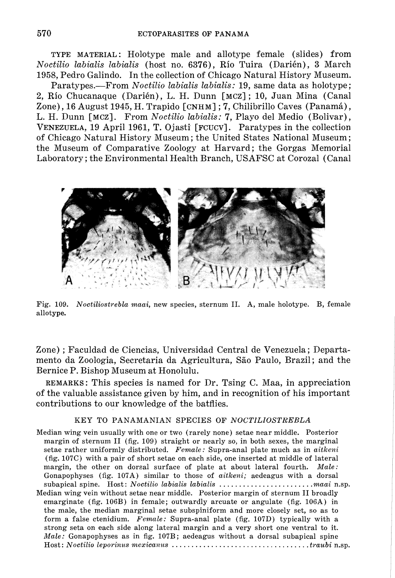**TYPE MATERIAL:** Holotype male and allotype female (slides) from *Noctilio labialis labialis* (host no. 6376), Rio Tuira (Darikn), **3** March 1958, Pedro Galindo. In the collection of Chicago Natural History Museum.

Paratypes.-From *Noctilio labialis labialis:* 19, same data as holotype; **2,** Rio Chucanaque (Darikn), L. H. Dunn **[MCZ]** ; 10, Juan Mina (Canal Zone), 16 August 1945, H. Trapido **[CNHM]** ; 7, Chilibrillo Caves (Panam&), L. H. Dunn **[MCZ].** From *Noctilio labialis:* 7, Playo del Medio (Bolivar), **VENEZUELA,** 19 April 1961, T. Ojastf **[FCUCV].** Paratypes in the collection of Chicago Natural History Museum; the United States National Museum; the Museum of Comparative Zoology at Harvard; the Gorgas Memorial Laboratory ; the Environmental Health Branch, USAFSC at Corozal (Canal



Fig. 109. *Noctiliostrebla maai,* new species, sternum 11. A, male holotype. B, female allotype.

Zone) ; Faculdad de Ciencias, Universidad Central de Venezuela; Departamento da Zoologia, Secretaria da Agricultura, S5o Paulo, Brazil; and the Bernice P. Bishop Museum at Honolulu.

**REMARKS:** This species is named for Dr. Tsing C. Maa, in appreciation of the valuable assistance given by him, and in recognition of his important contributions to our knowledge of the batflies.

## KEY TO PANAMANIAN SPECIES OF *NOCTZLZOSTREBLA*

Median wing vein usually with one or two (rarely none) setae near middle. Posterior margin of sternum **I1** (fig. 109) straight or nearly so, in both sexes, the marginal setae rather uniformly distributed. *Female:* Supra-anal plate much as in *aitkeni*  (fig. 107C) with a pair of short setae on each side, one inserted at middle of lateral margin, the other on dorsal surface of plate at about lateral fourth. *Male:*  Gonapophyses (fig. 107A) similar to those of *aitkeni;* aedeagus with a dorsal subapical spine. Host : *Noctilio labialis labialis* . . . . . . . . . . . . . . . . . . . . . . . *.maai* n.sp. Median wing vein without setae near middle. Posterior margin of sternum I1 broadly emarginate (fig. 106B) in female; outwardly arcuate or angulate (fig. 106A) in the male, the median marginal setae subspiniform and more closely set, so as to form a false ctenidium. *Female:* Supra-anal plate (fig. 107D) typically with a strong seta on each side along lateral margin and a very short one ventral to it. *Male:* Gonapophyses as in fig. 107B; aedeagus without a dorsal subapical spine Host : *Noctilio leporinus nzexicanus* . . . . . . . . . . . . . . . . . . . . . . . . . . . . . . . . . . . *traubi* n.sp.